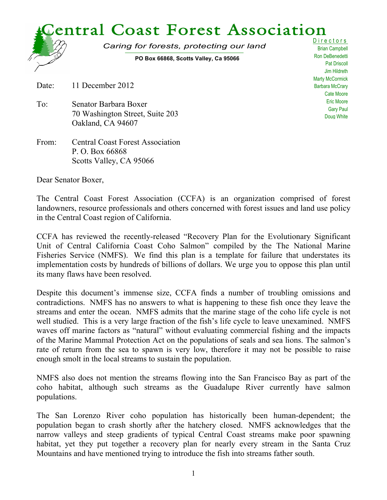

Brian Campbell Ron DeBenedetti Pat Driscoll Jim Hildreth Marty McCormick Barbara McCrary Cate Moore Eric Moore Gary Paul Doug White

Date: 11 December 2012

- To: Senator Barbara Boxer 70 Washington Street, Suite 203 Oakland, CA 94607
- From: Central Coast Forest Association P. O. Box 66868 Scotts Valley, CA 95066

Dear Senator Boxer,

The Central Coast Forest Association (CCFA) is an organization comprised of forest landowners, resource professionals and others concerned with forest issues and land use policy in the Central Coast region of California.

CCFA has reviewed the recently-released "Recovery Plan for the Evolutionary Significant Unit of Central California Coast Coho Salmon" compiled by the The National Marine Fisheries Service (NMFS). We find this plan is a template for failure that understates its implementation costs by hundreds of billions of dollars. We urge you to oppose this plan until its many flaws have been resolved.

Despite this document's immense size, CCFA finds a number of troubling omissions and contradictions. NMFS has no answers to what is happening to these fish once they leave the streams and enter the ocean. NMFS admits that the marine stage of the coho life cycle is not well studied. This is a very large fraction of the fish's life cycle to leave unexamined. NMFS waves off marine factors as "natural" without evaluating commercial fishing and the impacts of the Marine Mammal Protection Act on the populations of seals and sea lions. The salmon's rate of return from the sea to spawn is very low, therefore it may not be possible to raise enough smolt in the local streams to sustain the population.

NMFS also does not mention the streams flowing into the San Francisco Bay as part of the coho habitat, although such streams as the Guadalupe River currently have salmon populations.

The San Lorenzo River coho population has historically been human-dependent; the population began to crash shortly after the hatchery closed. NMFS acknowledges that the narrow valleys and steep gradients of typical Central Coast streams make poor spawning habitat, yet they put together a recovery plan for nearly every stream in the Santa Cruz Mountains and have mentioned trying to introduce the fish into streams father south.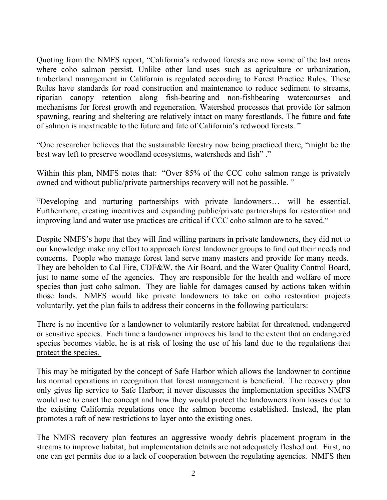Quoting from the NMFS report, "California's redwood forests are now some of the last areas where coho salmon persist. Unlike other land uses such as agriculture or urbanization, timberland management in California is regulated according to Forest Practice Rules. These Rules have standards for road construction and maintenance to reduce sediment to streams, riparian canopy retention along fish-bearing and non-fishbearing watercourses and mechanisms for forest growth and regeneration. Watershed processes that provide for salmon spawning, rearing and sheltering are relatively intact on many forestlands. The future and fate of salmon is inextricable to the future and fate of California's redwood forests. "

"One researcher believes that the sustainable forestry now being practiced there, "might be the best way left to preserve woodland ecosystems, watersheds and fish" ."

Within this plan, NMFS notes that: "Over 85% of the CCC coho salmon range is privately owned and without public/private partnerships recovery will not be possible. "

"Developing and nurturing partnerships with private landowners… will be essential. Furthermore, creating incentives and expanding public/private partnerships for restoration and improving land and water use practices are critical if CCC coho salmon are to be saved."

Despite NMFS's hope that they will find willing partners in private landowners, they did not to our knowledge make any effort to approach forest landowner groups to find out their needs and concerns. People who manage forest land serve many masters and provide for many needs. They are beholden to Cal Fire, CDF&W, the Air Board, and the Water Quality Control Board, just to name some of the agencies. They are responsible for the health and welfare of more species than just coho salmon. They are liable for damages caused by actions taken within those lands. NMFS would like private landowners to take on coho restoration projects voluntarily, yet the plan fails to address their concerns in the following particulars:

There is no incentive for a landowner to voluntarily restore habitat for threatened, endangered or sensitive species. Each time a landowner improves his land to the extent that an endangered species becomes viable, he is at risk of losing the use of his land due to the regulations that protect the species.

This may be mitigated by the concept of Safe Harbor which allows the landowner to continue his normal operations in recognition that forest management is beneficial. The recovery plan only gives lip service to Safe Harbor; it never discusses the implementation specifics NMFS would use to enact the concept and how they would protect the landowners from losses due to the existing California regulations once the salmon become established. Instead, the plan promotes a raft of new restrictions to layer onto the existing ones.

The NMFS recovery plan features an aggressive woody debris placement program in the streams to improve habitat, but implementation details are not adequately fleshed out. First, no one can get permits due to a lack of cooperation between the regulating agencies. NMFS then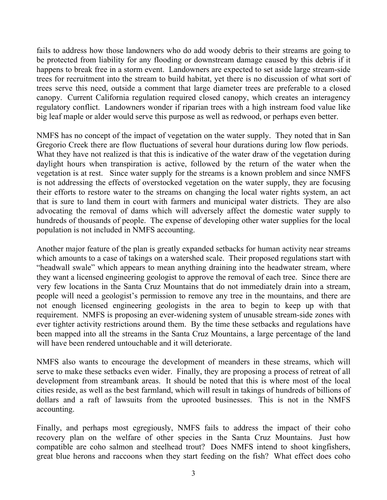fails to address how those landowners who do add woody debris to their streams are going to be protected from liability for any flooding or downstream damage caused by this debris if it happens to break free in a storm event. Landowners are expected to set aside large stream-side trees for recruitment into the stream to build habitat, yet there is no discussion of what sort of trees serve this need, outside a comment that large diameter trees are preferable to a closed canopy. Current California regulation required closed canopy, which creates an interagency regulatory conflict. Landowners wonder if riparian trees with a high instream food value like big leaf maple or alder would serve this purpose as well as redwood, or perhaps even better.

NMFS has no concept of the impact of vegetation on the water supply. They noted that in San Gregorio Creek there are flow fluctuations of several hour durations during low flow periods. What they have not realized is that this is indicative of the water draw of the vegetation during daylight hours when transpiration is active, followed by the return of the water when the vegetation is at rest. Since water supply for the streams is a known problem and since NMFS is not addressing the effects of overstocked vegetation on the water supply, they are focusing their efforts to restore water to the streams on changing the local water rights system, an act that is sure to land them in court with farmers and municipal water districts. They are also advocating the removal of dams which will adversely affect the domestic water supply to hundreds of thousands of people. The expense of developing other water supplies for the local population is not included in NMFS accounting.

Another major feature of the plan is greatly expanded setbacks for human activity near streams which amounts to a case of takings on a watershed scale. Their proposed regulations start with "headwall swale" which appears to mean anything draining into the headwater stream, where they want a licensed engineering geologist to approve the removal of each tree. Since there are very few locations in the Santa Cruz Mountains that do not immediately drain into a stream, people will need a geologist's permission to remove any tree in the mountains, and there are not enough licensed engineering geologists in the area to begin to keep up with that requirement. NMFS is proposing an ever-widening system of unusable stream-side zones with ever tighter activity restrictions around them. By the time these setbacks and regulations have been mapped into all the streams in the Santa Cruz Mountains, a large percentage of the land will have been rendered untouchable and it will deteriorate.

NMFS also wants to encourage the development of meanders in these streams, which will serve to make these setbacks even wider. Finally, they are proposing a process of retreat of all development from streambank areas. It should be noted that this is where most of the local cities reside, as well as the best farmland, which will result in takings of hundreds of billions of dollars and a raft of lawsuits from the uprooted businesses. This is not in the NMFS accounting.

Finally, and perhaps most egregiously, NMFS fails to address the impact of their coho recovery plan on the welfare of other species in the Santa Cruz Mountains. Just how compatible are coho salmon and steelhead trout? Does NMFS intend to shoot kingfishers, great blue herons and raccoons when they start feeding on the fish? What effect does coho